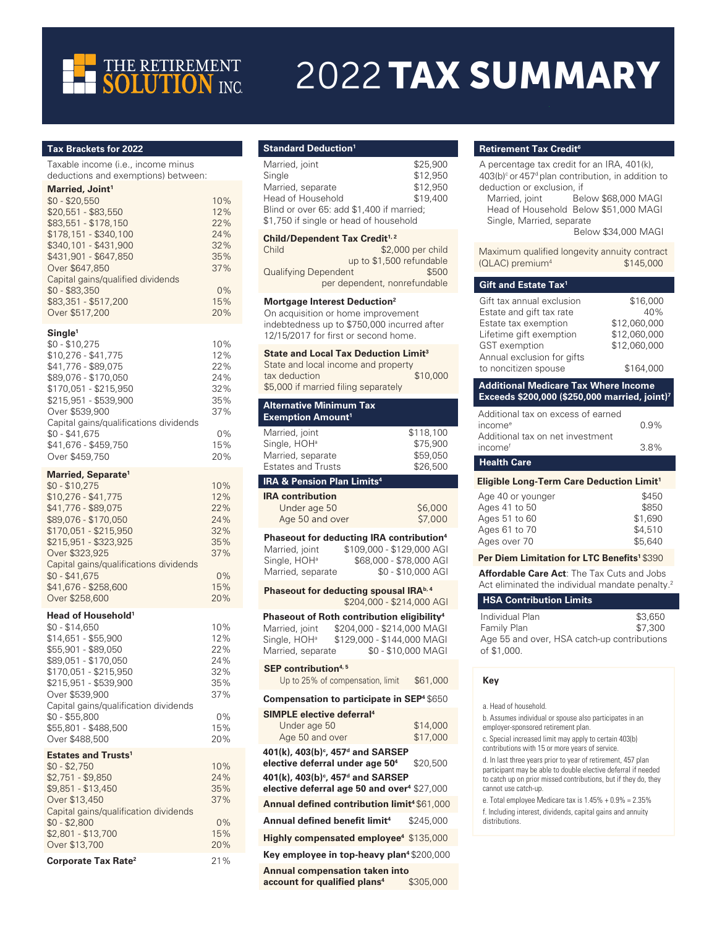

# 2022 TAX SUMMARY

## **Tax Brackets for 2022**

Taxable income (i.e., income minus deductions and exemptions) between:

# **Married, Joint<sup>1</sup>**

| $$0 - $20.550$                    | 10% |
|-----------------------------------|-----|
| \$20,551 - \$83,550               | 12% |
| \$83,551 - \$178,150              | 22% |
| \$178,151 - \$340,100             | 24% |
| \$340.101 - \$431.900             | 32% |
| \$431.901 - \$647.850             | 35% |
| Over \$647,850                    | 37% |
| Capital gains/gualified dividends |     |
| $$0 - $83.350$                    | 0%  |
| \$83,351 - \$517,200              | 15% |
| Over \$517,200                    | 20% |
|                                   |     |

### **Single<sup>1</sup>**

| $$0 - $10.275$                         | 10%   |
|----------------------------------------|-------|
| $$10,276 - $41,775$                    | 12%   |
| \$41,776 - \$89,075                    | 22%   |
| \$89.076 - \$170.050                   | 24%   |
| \$170.051 - \$215.950                  | 32%   |
| \$215,951 - \$539,900                  | 35%   |
| Over \$539,900                         | 37%   |
| Capital gains/gualifications dividends |       |
| $$0 - $41.675$                         | $0\%$ |
| \$41.676 - \$459.750                   | 15%   |
| Over \$459,750                         | 20%   |

## **Married, Separate<sup>1</sup>**

| $$0 - $10.275$                         | 10%   |
|----------------------------------------|-------|
| \$10.276 - \$41.775                    | 12%   |
| \$41,776 - \$89,075                    | 22%   |
| \$89.076 - \$170.050                   | 24%   |
| \$170.051 - \$215.950                  | 32%   |
| \$215.951 - \$323.925                  | 35%   |
| Over \$323,925                         | 37%   |
| Capital gains/gualifications dividends |       |
| $$0 - $41.675$                         | $0\%$ |
| \$41.676 - \$258.600                   | 15%   |
| Over \$258,600                         | 20%   |

### **Head of Household<sup>1</sup>**

| \$0 - \$14.650                        | 10% |
|---------------------------------------|-----|
| \$14.651 - \$55.900                   | 12% |
| \$55,901 - \$89,050                   | 22% |
| \$89.051 - \$170.050                  | 24% |
| \$170.051 - \$215.950                 | 32% |
| \$215.951 - \$539.900                 | 35% |
| Over \$539,900                        | 37% |
| Capital gains/gualification dividends |     |
| \$0 - \$55.800                        | 0%  |
| \$55.801 - \$488.500                  | 15% |
| Over \$488,500                        | 20% |
|                                       |     |

# **Estates and Trusts<sup>1</sup>**

| $$0 - $2.750$                         | 10%   |
|---------------------------------------|-------|
| $$2,751 - $9,850$                     | 24%   |
| \$9,851 - \$13,450                    | 35%   |
| Over \$13,450                         | 37%   |
| Capital gains/gualification dividends |       |
| $$0 - $2,800$                         | $0\%$ |
| \$2,801 - \$13,700                    | 15%   |
| Over \$13,700                         | 20%   |
| Corporate Tax Rate <sup>2</sup>       | 21%   |

# **Standard Deduction<sup>1</sup>**

| Married, joint<br>Single<br>Married, separate<br>Head of Household<br>Blind or over 65: add \$1,400 if married;<br>\$1,750 if single or head of household                                                           | \$25,900<br>\$12,950<br>\$12,950<br>\$19,400                               |
|---------------------------------------------------------------------------------------------------------------------------------------------------------------------------------------------------------------------|----------------------------------------------------------------------------|
| Child/Dependent Tax Credit <sup>1,2</sup><br>Child                                                                                                                                                                  | \$2,000 per child                                                          |
| <b>Qualifying Dependent</b><br>per dependent, nonrefundable                                                                                                                                                         | up to \$1,500 refundable<br>\$500                                          |
| Mortgage Interest Deduction <sup>2</sup><br>On acquisition or home improvement<br>indebtedness up to \$750,000 incurred after<br>12/15/2017 for first or second home.                                               |                                                                            |
| <b>State and Local Tax Deduction Limit<sup>3</sup></b><br>State and local income and property<br>tax deduction<br>\$5,000 if married filing separately                                                              | \$10,000                                                                   |
| <b>Alternative Minimum Tax</b><br><b>Exemption Amount<sup>1</sup></b>                                                                                                                                               |                                                                            |
| Married, joint<br>Single, HOH <sup>a</sup><br>Married, separate<br><b>Estates and Trusts</b>                                                                                                                        | \$118,100<br>\$75,900<br>\$59,050<br>\$26,500                              |
| <b>IRA &amp; Pension Plan Limits<sup>4</sup></b>                                                                                                                                                                    |                                                                            |
| <b>IRA contribution</b><br>Under age 50<br>Age 50 and over                                                                                                                                                          | \$6,000<br>\$7,000                                                         |
| Phaseout for deducting IRA contribution <sup>4</sup><br>Married, joint<br>Single, HOH <sup>a</sup><br>Married, separate                                                                                             | \$109,000 - \$129,000 AGI<br>\$68,000 - \$78,000 AGI<br>\$0 - \$10,000 AGI |
| Phaseout for deducting spousal IRA <sup>b, 4</sup>                                                                                                                                                                  | \$204,000 - \$214,000 AGI                                                  |
| Phaseout of Roth contribution eligibility <sup>4</sup><br>\$204,000 - \$214,000 MAGI<br>Married, joint<br>\$129,000 - \$144,000 MAGI<br>Single, HOH <sup>a</sup><br>Married, separate                               | \$0 - \$10,000 MAGI                                                        |
| SEP contribution <sup>4,5</sup><br>Up to 25% of compensation, limit                                                                                                                                                 | \$61,000                                                                   |
| Compensation to participate in SEP <sup>4</sup> \$650                                                                                                                                                               |                                                                            |
| SIMPLE elective deferral <sup>4</sup><br>Under age 50<br>Age 50 and over                                                                                                                                            | \$14,000<br>\$17,000                                                       |
| 401(k), 403(b)°, 457 <sup>d</sup> and SARSEP<br>elective deferral under age 50 <sup>4</sup><br>401(k), 403(b) <sup>c</sup> , 457 <sup>d</sup> and SARSEP<br>elective deferral age 50 and over <sup>4</sup> \$27,000 | \$20,500                                                                   |
| Annual defined contribution limit <sup>4</sup> \$61,000                                                                                                                                                             |                                                                            |
| Annual defined benefit limit <sup>4</sup>                                                                                                                                                                           | \$245,000                                                                  |
|                                                                                                                                                                                                                     |                                                                            |

**Highly compensated employee<sup>4</sup>** \$135,000

**Key employee in top-heavy plan<sup>4</sup>**\$200,000 **Annual compensation taken into**

**account for qualified plans<sup>4</sup>** \$305,000

## **Retirement Tax Credit<sup>6</sup>**

| neurement Tax Greuit                                                                                                                                                                                                                   |                                                                              |
|----------------------------------------------------------------------------------------------------------------------------------------------------------------------------------------------------------------------------------------|------------------------------------------------------------------------------|
| A percentage tax credit for an IRA, 401(k),<br>$403(b)$ <sup>c</sup> or $457d$ plan contribution, in addition to<br>deduction or exclusion, if<br>Married, joint<br>Head of Household Below \$51,000 MAGI<br>Single, Married, separate | Below \$68,000 MAGI<br><b>Below \$34,000 MAGI</b>                            |
| Maximum qualified longevity annuity contract<br>(QLAC) premium <sup>4</sup>                                                                                                                                                            | \$145,000                                                                    |
| Gift and Estate Tax <sup>1</sup>                                                                                                                                                                                                       |                                                                              |
| Gift tax annual exclusion<br>Estate and gift tax rate<br>Estate tax exemption<br>Lifetime gift exemption<br><b>GST</b> exemption<br>Annual exclusion for gifts<br>to noncitizen spouse                                                 | \$16,000<br>40%<br>\$12,060,000<br>\$12,060,000<br>\$12,060,000<br>\$164,000 |
| <b>Additional Medicare Tax Where Income</b><br>Exceeds \$200,000 (\$250,000 married, joint) <sup>7</sup>                                                                                                                               |                                                                              |
| Additional tax on excess of earned<br>income <sup>e</sup><br>Additional tax on net investment<br>income <sup>f</sup>                                                                                                                   | 0.9%<br>3.8%                                                                 |
| <b>Health Care</b>                                                                                                                                                                                                                     |                                                                              |
| Eligible Long-Term Care Deduction Limit <sup>1</sup>                                                                                                                                                                                   |                                                                              |
| Age 40 or younger<br>Ages 41 to 50<br>Ages 51 to 60<br>Ages 61 to 70<br>Ages over 70                                                                                                                                                   | \$450<br>\$850<br>\$1,690<br>\$4,510<br>\$5,640                              |

# **Per Diem Limitation for LTC Benefits<sup>1</sup>**\$390

**Affordable Care Act**: The Tax Cuts and Jobs Act eliminated the individual mandate penalty.<sup>2</sup>

# **HSA Contribution Limits**

| Individual Plan                             | \$3,650 |
|---------------------------------------------|---------|
| Family Plan                                 | \$7,300 |
| Age 55 and over, HSA catch-up contributions |         |
| of \$1.000.                                 |         |

**Key**

a. Head of household.

b. Assumes individual or spouse also participates in an employer-sponsored retirement plan.

c. Special increased limit may apply to certain 403(b) contributions with 15 or more years of service.

d. In last three years prior to year of retirement, 457 plan participant may be able to double elective deferral if needed to catch up on prior missed contributions, but if they do, they cannot use catch-up.

e. Total employee Medicare tax is 1.45% + 0.9% = 2.35% f. Including interest, dividends, capital gains and annuity distributions.